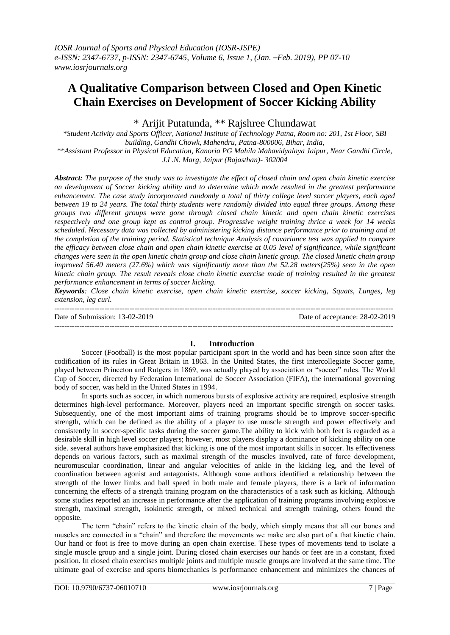# **A Qualitative Comparison between Closed and Open Kinetic Chain Exercises on Development of Soccer Kicking Ability**

\* Arijit Putatunda, \*\* Rajshree Chundawat

*\*Student Activity and Sports Officer, National Institute of Technology Patna, Room no: 201, 1st Floor, SBI building, Gandhi Chowk, Mahendru, Patna-800006, Bihar, India, \*\*Assistant Professor in Physical Education, Kanoria PG Mahila Mahavidyalaya Jaipur, Near Gandhi Circle, J.L.N. Marg, Jaipur (Rajasthan)- 302004*

*Abstract: The purpose of the study was to investigate the effect of closed chain and open chain kinetic exercise on development of Soccer kicking ability and to determine which mode resulted in the greatest performance enhancement. The case study incorporated randomly a total of thirty college level soccer players, each aged between 19 to 24 years. The total thirty students were randomly divided into equal three groups. Among these groups two different groups were gone through closed chain kinetic and open chain kinetic exercises respectively and one group kept as control group. Progressive weight training thrice a week for 14 weeks scheduled. Necessary data was collected by administering kicking distance performance prior to training and at the completion of the training period. Statistical technique Analysis of covariance test was applied to compare the efficacy between close chain and open chain kinetic exercise at 0.05 level of significance, while significant changes were seen in the open kinetic chain group and close chain kinetic group. The closed kinetic chain group improved 56.40 meters (27.6%) which was significantly more than the 52.28 meters(25%) seen in the open kinetic chain group. The result reveals close chain kinetic exercise mode of training resulted in the greatest performance enhancement in terms of soccer kicking.* 

*Keywords: Close chain kinetic exercise, open chain kinetic exercise, soccer kicking, Squats, Lunges, leg extension, leg curl.*

| Date of Submission: $13-02-2019$ | Date of acceptance: 28-02-2019 |
|----------------------------------|--------------------------------|
|                                  |                                |

# **I. Introduction**

Soccer (Football) is the most popular participant sport in the world and has been since soon after the codification of its rules in Great Britain in 1863. In the United States, the first intercollegiate Soccer game, played between Princeton and Rutgers in 1869, was actually played by association or "soccer" rules. The World Cup of Soccer, directed by Federation International de Soccer Association (FIFA), the international governing body of soccer, was held in the United States in 1994.

In sports such as soccer, in which numerous bursts of explosive activity are required, explosive strength determines high-level performance. Moreover, players need an important specific strength on soccer tasks. Subsequently, one of the most important aims of training programs should be to improve soccer-specific strength, which can be defined as the ability of a player to use muscle strength and power effectively and consistently in soccer-specific tasks during the soccer game.The ability to kick with both feet is regarded as a desirable skill in high level soccer players; however, most players display a dominance of kicking ability on one side. several authors have emphasized that kicking is one of the most important skills in soccer. Its effectiveness depends on various factors, such as maximal strength of the muscles involved, rate of force development, neuromuscular coordination, linear and angular velocities of ankle in the kicking leg, and the level of coordination between agonist and antagonists. Although some authors identified a relationship between the strength of the lower limbs and ball speed in both male and female players, there is a lack of information concerning the effects of a strength training program on the characteristics of a task such as kicking. Although some studies reported an increase in performance after the application of training programs involving explosive strength, maximal strength, isokinetic strength, or mixed technical and strength training, others found the opposite.

The term "chain" refers to the kinetic chain of the body, which simply means that all our bones and muscles are connected in a "chain" and therefore the movements we make are also part of a that kinetic chain. Our hand or foot is free to move during an open chain exercise. These types of movements tend to isolate a single muscle group and a single joint. During closed chain exercises our hands or feet are in a constant, fixed position. In closed chain exercises multiple joints and multiple muscle groups are involved at the same time. The ultimate goal of exercise and sports biomechanics is performance enhancement and minimizes the chances of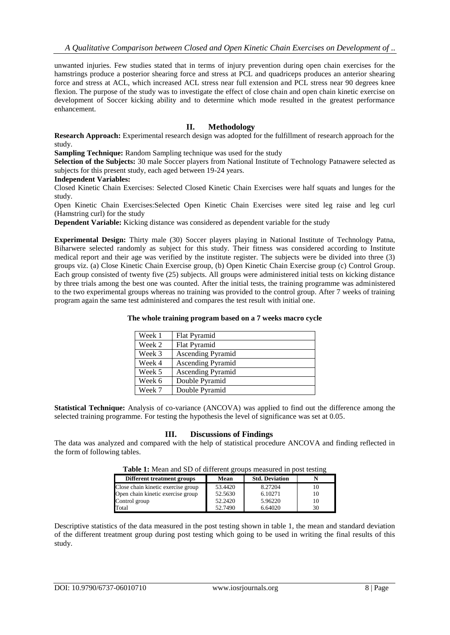unwanted injuries. Few studies stated that in terms of injury prevention during open chain exercises for the hamstrings produce a posterior shearing force and stress at PCL and quadriceps produces an anterior shearing force and stress at ACL, which increased ACL stress near full extension and PCL stress near 90 degrees knee flexion. The purpose of the study was to investigate the effect of close chain and open chain kinetic exercise on development of Soccer kicking ability and to determine which mode resulted in the greatest performance enhancement.

# **II. Methodology**

**Research Approach:** Experimental research design was adopted for the fulfillment of research approach for the study.

**Sampling Technique:** Random Sampling technique was used for the study

**Selection of the Subjects:** 30 male Soccer players from National Institute of Technology Patnawere selected as subjects for this present study, each aged between 19-24 years.

### **Independent Variables:**

Closed Kinetic Chain Exercises: Selected Closed Kinetic Chain Exercises were half squats and lunges for the study.

Open Kinetic Chain Exercises:Selected Open Kinetic Chain Exercises were sited leg raise and leg curl (Hamstring curl) for the study

**Dependent Variable:** Kicking distance was considered as dependent variable for the study

**Experimental Design:** Thirty male (30) Soccer players playing in National Institute of Technology Patna, Biharwere selected randomly as subject for this study. Their fitness was considered according to Institute medical report and their age was verified by the institute register. The subjects were be divided into three (3) groups viz. (a) Close Kinetic Chain Exercise group, (b) Open Kinetic Chain Exercise group (c) Control Group. Each group consisted of twenty five (25) subjects. All groups were administered initial tests on kicking distance by three trials among the best one was counted. After the initial tests, the training programme was administered to the two experimental groups whereas no training was provided to the control group. After 7 weeks of training program again the same test administered and compares the test result with initial one.

### **The whole training program based on a 7 weeks macro cycle**

| Week 1 | Flat Pyramid             |
|--------|--------------------------|
| Week 2 | Flat Pyramid             |
| Week 3 | <b>Ascending Pyramid</b> |
| Week 4 | <b>Ascending Pyramid</b> |
| Week 5 | <b>Ascending Pyramid</b> |
| Week 6 | Double Pyramid           |
| Week 7 | Double Pyramid           |

**Statistical Technique:** Analysis of co-variance (ANCOVA) was applied to find out the difference among the selected training programme. For testing the hypothesis the level of significance was set at 0.05.

# **III. Discussions of Findings**

The data was analyzed and compared with the help of statistical procedure ANCOVA and finding reflected in the form of following tables.

| <b>Table 1.</b> Mean and SD of unferent groups incasured in post testing |         |                       |    |  |  |
|--------------------------------------------------------------------------|---------|-----------------------|----|--|--|
| Different treatment groups                                               | Mean    | <b>Std. Deviation</b> |    |  |  |
| Close chain kinetic exercise group                                       | 53.4420 | 8.27204               | 10 |  |  |
| Open chain kinetic exercise group                                        | 52.5630 | 6.10271               | 10 |  |  |
| Control group                                                            | 52.2420 | 5.96220               | 10 |  |  |
| Total                                                                    | 52.7490 | 6.64020               | 30 |  |  |

**Table 1:** Mean and SD of different groups measured in post testing

Descriptive statistics of the data measured in the post testing shown in table 1, the mean and standard deviation of the different treatment group during post testing which going to be used in writing the final results of this study.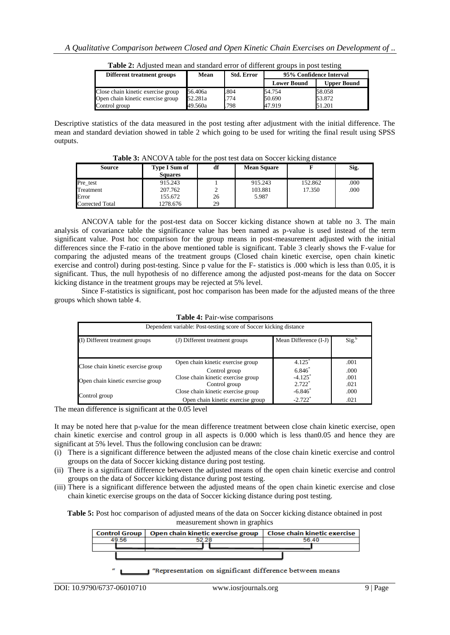| Different treatment groups         | Mean    | <b>Std. Error</b> | 95% Confidence Interval |                    |
|------------------------------------|---------|-------------------|-------------------------|--------------------|
|                                    |         |                   | <b>Lower Bound</b>      | <b>Upper Bound</b> |
| Close chain kinetic exercise group | 56.406a | .804              | 54.754                  | 58.058             |
| Open chain kinetic exercise group  | 52.281a | 774               | 50.690                  | 53.872             |
| Control group                      | 49.560a | .798              | 47.919                  | 51.201             |

**Table 2:** Adjusted mean and standard error of different groups in post testing

Descriptive statistics of the data measured in the post testing after adjustment with the initial difference. The mean and standard deviation showed in table 2 which going to be used for writing the final result using SPSS outputs.

| <b>Table 3:</b> ANCOVA table for the post test data on Soccer Kicking distance |                                        |    |                    |         |      |
|--------------------------------------------------------------------------------|----------------------------------------|----|--------------------|---------|------|
| <b>Source</b>                                                                  | <b>Type I Sum of</b><br><b>Squares</b> | df | <b>Mean Square</b> |         | Sig. |
| Pre test                                                                       | 915.243                                |    | 915.243            | 152.862 | .000 |
| Treatment                                                                      | 207.762                                |    | 103.881            | 17.350  | .000 |
| Error                                                                          | 155.672                                | 26 | 5.987              |         |      |
| Corrected Total                                                                | 1278.676                               | 29 |                    |         |      |

**Table 3:** ANCOVA table for the post test data on Soccer kicking distance

ANCOVA table for the post-test data on Soccer kicking distance shown at table no 3. The main analysis of covariance table the significance value has been named as p-value is used instead of the term significant value. Post hoc comparison for the group means in post-measurement adjusted with the initial differences since the F-ratio in the above mentioned table is significant. Table 3 clearly shows the F-value for comparing the adjusted means of the treatment groups (Closed chain kinetic exercise, open chain kinetic exercise and control) during post-testing. Since p value for the F- statistics is .000 which is less than 0.05, it is significant. Thus, the null hypothesis of no difference among the adjusted post-means for the data on Soccer kicking distance in the treatment groups may be rejected at 5% level.

Since F-statistics is significant, post hoc comparison has been made for the adjusted means of the three groups which shown table 4.

| <b>1 apre 4.</b> F all-wise comparisons                           |                                                     |                                   |                   |  |
|-------------------------------------------------------------------|-----------------------------------------------------|-----------------------------------|-------------------|--|
| Dependent variable: Post-testing score of Soccer kicking distance |                                                     |                                   |                   |  |
| (I) Different treatment groups<br>(J) Different treatment groups  |                                                     | Mean Difference (I-J)             | Sig. <sup>b</sup> |  |
|                                                                   | Open chain kinetic exercise group                   | $4.125$ <sup>*</sup>              | .001              |  |
| Close chain kinetic exercise group                                | Control group                                       | $6.846*$                          | .000              |  |
| Open chain kinetic exercise group                                 | Close chain kinetic exercise group<br>Control group | $-4.125$ <sup>*</sup><br>$2.722*$ | .001<br>.021      |  |
| Control group                                                     | Close chain kinetic exercise group                  | $-6.846*$                         | .000              |  |
|                                                                   | Open chain kinetic exercise group                   | $-2.722$ <sup>*</sup>             | .021              |  |

## **Table 4:** Pair-wise comparisons

The mean difference is significant at the 0.05 level

It may be noted here that p-value for the mean difference treatment between close chain kinetic exercise, open chain kinetic exercise and control group in all aspects is 0.000 which is less than0.05 and hence they are significant at 5% level. Thus the following conclusion can be drawn:

- (i) There is a significant difference between the adjusted means of the close chain kinetic exercise and control groups on the data of Soccer kicking distance during post testing.
- (ii) There is a significant difference between the adjusted means of the open chain kinetic exercise and control groups on the data of Soccer kicking distance during post testing.
- (iii) There is a significant difference between the adjusted means of the open chain kinetic exercise and close chain kinetic exercise groups on the data of Soccer kicking distance during post testing.

**Table 5:** Post hoc comparison of adjusted means of the data on Soccer kicking distance obtained in post measurement shown in graphics

|  |  | Control Group   Open chain kinetic exercise group   Close chain kinetic exercise |  |  |       |
|--|--|----------------------------------------------------------------------------------|--|--|-------|
|  |  | 52.28                                                                            |  |  | 56.40 |
|  |  |                                                                                  |  |  |       |
|  |  |                                                                                  |  |  |       |

Representation on significant difference between means